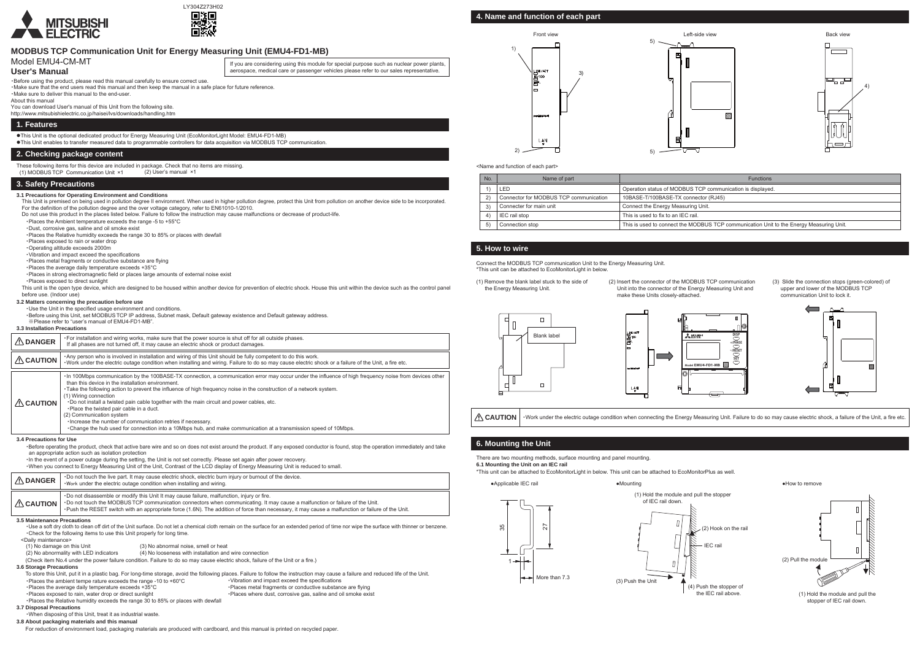## **MODBUS TCP Communication Unit for Energy Measuring Unit (EMU4-FD1-MB)**

### Model EMU4-CM-MT

#### **User's Manual**

・Before using the product, please read this manual carefully to ensure correct use.

・Make sure that the end users read this manual and then keep the manual in a safe place for future reference. ・Make sure to deliver this manual to the end-user.

About this manual

You can download User's manual of this Unit from the following site.

## http://www.mitsubishielectric.co.jp/haisei/lvs/downloads/handling.htm

#### **1. Features**

This Unit is the optional dedicated product for Energy Measuring Unit (EcoMonitorLight Model: EMU4-FD1-MB)

This Unit is premised on being used in pollution degree II environment. When used in higher pollution degree, protect this Unit from pollution on another device side to be incorporated For the definition of the pollution degree and the over voltage category, refer to EN61010-1/2010.

This Unit enables to transfer measured data to programmable controllers for data acquisition via MODBUS TCP communication.

#### **2. Checking package content**

These following items for this device are included in package. Check that no items are missing. (2) User's manual ×1

(1) MODBUSTCP Communication Unit ×1

### **3. Safety Precautions**

#### **3.1 Precautions for Operating Environment and Conditions**

This unit is the open type device, which are designed to be housed within another device for prevention of electric shock. House this unit within the device such as the control panel before use. (Indoor use)

- Do not use this product in the places listed below. Failure to follow the instruction may cause malfunctions or decrease of product-life.
- ・Places the Ambient temperature exceeds the range -5 to +55°C・Dust, corrosive gas, saline and oil smoke exist
- ・Places the Relative humidity exceeds the range 30 to 85% or places with dewfall
- ・Places exposed to rain or water drop
- ・Operating altitude exceeds 2000m
- ・Vibration and impact exceed the specifications
- ・Places metal fragments or conductive substance are flying
- ・Places the average daily temperature exceeds +35°C
- ・Places in strong electromagnetic field or places large amounts of external noise exist
- ・Places exposed to direct sunlight

#### **3.2 Matters concerning the precaution before use**

・Use the Unit in the specified usage environment and conditions.

・Before using this Unit, set MODBUSTCP IP address, Subnet mask, Default gateway existence and Default gateway address.

※Please refer to "user's manual of EMU4-FD1-MB".

#### **3.3 Installation Precautions**

Connect the MODBUS TCP communication Unit to the Energy Measuring Unit.<br>
THE REFER \*This unit can be attached to EcoMonitorLight in below.

# Front view5)1) **NK/ACT** 3)  $\frac{1}{10}$ /100 LAN

・When you connect to Energy Measuring Unit of the Unit, Contrast of the LCD display of Energy Measuring Unit is reduced to small.

| $\triangle$ DANGER             | . For installation and wiring works, make sure that the power source is shut off for all outside phases.<br>If all phases are not turned off, it may cause an electric shock or product damages.                                                                                                                                                                                                                                                                                                                                                                                                                                                                                                                          |
|--------------------------------|---------------------------------------------------------------------------------------------------------------------------------------------------------------------------------------------------------------------------------------------------------------------------------------------------------------------------------------------------------------------------------------------------------------------------------------------------------------------------------------------------------------------------------------------------------------------------------------------------------------------------------------------------------------------------------------------------------------------------|
| $\triangle$ CAUTION            | Any person who is involved in installation and wiring of this Unit should be fully competent to do this work.<br>. Work under the electric outage condition when installing and wiring. Failure to do so may cause electric shock or a failure of the Unit, a fire etc.                                                                                                                                                                                                                                                                                                                                                                                                                                                   |
| <b>CAUTION</b>                 | In 100Mbps communication by the 100BASE-TX connection, a communication error may occur under the influence of high frequency noise from devices other<br>than this device in the installation environment.<br>. Take the following action to prevent the influence of high frequency noise in the construction of a network system.<br>(1) Wiring connection<br>. Do not install a twisted pain cable together with the main circuit and power cables, etc.<br>. Place the twisted pair cable in a duct.<br>(2) Communication system<br>. Increase the number of communication retries if necessary.<br>. Change the hub used for connection into a 10Mbps hub, and make communication at a transmission speed of 10Mbps. |
| <b>3.4 Precautions for Use</b> | -Before operating the product, check that active bare wire and so on does not exist around the product. If any exposed conductor is found, stop the operation immediately and take<br>an appropriate action such as isolation protection<br>-In the event of a power outage during the setting, the Unit is not set correctly. Please set again after power recovery.                                                                                                                                                                                                                                                                                                                                                     |

| $\Lambda$ DANGER                                                                                                               | . Do not touch the live part. It may cause electric shock, electric burn injury or burnout of the device.<br>. Work under the electric outage condition when installing and wiring.                                                                                                                                                                                                |  |                                                                                                                                                                                             |  |
|--------------------------------------------------------------------------------------------------------------------------------|------------------------------------------------------------------------------------------------------------------------------------------------------------------------------------------------------------------------------------------------------------------------------------------------------------------------------------------------------------------------------------|--|---------------------------------------------------------------------------------------------------------------------------------------------------------------------------------------------|--|
| $\triangle$ CAUTION                                                                                                            | . Do not disassemble or modify this Unit It may cause failure, malfunction, injury or fire.<br>. Do not touch the MODBUS TCP communication connectors when communicating. It may cause a malfunction or failure of the Unit.<br>. Push the RESET switch with an appropriate force (1.6N). The addition of force than necessary, it may cause a malfunction or failure of the Unit. |  |                                                                                                                                                                                             |  |
|                                                                                                                                | <b>3.5 Maintenance Precautions</b>                                                                                                                                                                                                                                                                                                                                                 |  |                                                                                                                                                                                             |  |
|                                                                                                                                |                                                                                                                                                                                                                                                                                                                                                                                    |  | • Use a soft dry cloth to clean off dirt of the Unit surface. Do not let a chemical cloth remain on the surface for an extended period of time nor wipe the surface with thinner or benzene |  |
|                                                                                                                                | . Check for the following items to use this Unit properly for long time.                                                                                                                                                                                                                                                                                                           |  |                                                                                                                                                                                             |  |
| <daily maintenance=""></daily>                                                                                                 |                                                                                                                                                                                                                                                                                                                                                                                    |  |                                                                                                                                                                                             |  |
| (1) No damage on this Unit<br>(3) No abnormal noise, smell or heat                                                             |                                                                                                                                                                                                                                                                                                                                                                                    |  |                                                                                                                                                                                             |  |
| (2) No abnormality with LED indicators<br>(4) No looseness with installation and wire connection                               |                                                                                                                                                                                                                                                                                                                                                                                    |  |                                                                                                                                                                                             |  |
| (Check item No.4 under the power failure condition. Failure to do so may cause electric shock, failure of the Unit or a fire.) |                                                                                                                                                                                                                                                                                                                                                                                    |  |                                                                                                                                                                                             |  |
| 3.6 Storage Precautions                                                                                                        |                                                                                                                                                                                                                                                                                                                                                                                    |  |                                                                                                                                                                                             |  |
|                                                                                                                                |                                                                                                                                                                                                                                                                                                                                                                                    |  | To store this Unit, put it in a plastic bag. For long-time storage, avoid the following places. Failure to follow the instruction may cause a failure and reduced life of the Unit.         |  |
| . Places the ambient tempe rature exceeds the range -10 to $+60^{\circ}$ C<br>. Vibration and impact exceed the specifications |                                                                                                                                                                                                                                                                                                                                                                                    |  |                                                                                                                                                                                             |  |
| . Places the average daily temperature exceeds +35°C                                                                           |                                                                                                                                                                                                                                                                                                                                                                                    |  | . Places metal fragments or conductive substance are flying                                                                                                                                 |  |
| . Places exposed to rain, water drop or direct sunlight                                                                        |                                                                                                                                                                                                                                                                                                                                                                                    |  | . Places where dust, corrosive gas, saline and oil smoke exist                                                                                                                              |  |
| . Places the Relative humidity exceeds the range 30 to 85% or places with dewfall                                              |                                                                                                                                                                                                                                                                                                                                                                                    |  |                                                                                                                                                                                             |  |
| <b>3.7 Disposal Precautions</b>                                                                                                |                                                                                                                                                                                                                                                                                                                                                                                    |  |                                                                                                                                                                                             |  |
|                                                                                                                                |                                                                                                                                                                                                                                                                                                                                                                                    |  |                                                                                                                                                                                             |  |

・When disposing of this Unit, treat it as industrial waste.

**3.8 About packaging materials and this manual**

For reduction of environment load, packaging materials are produced with cardboard, and this manual is printed on recycled paper.

If you are considering using this module for special purpose such as nuclear power plants, aerospace, medical care or passenger vehicles please refer to our sales representative.

## **5. How to wire**

## **6. Mounting the Unit**

**ACAUTION** 

(1) Remove the blank label stuck to the side of the Energy Measuring Unit.

(2) Insert the connector of the MODBUS TCP communication Unit into the connector of the Energy Measuring Unit and make these Units closely-attached.

There are two mounting methods, surface mounting and panel mounting. **6.1 Mounting the Unit on an IEC rail**

- 
- (3) Slide the connection stops (green-colored) of upper and lower of the MODBUS TCP communication Unit to lock it.



## **4. Name and function of each part**

<Name and function of each part>



| No. | Name of part                           | <b>Functions</b>                                                                        |
|-----|----------------------------------------|-----------------------------------------------------------------------------------------|
|     | LED                                    | Operation status of MODBUS TCP communication is displayed.                              |
|     | Connector for MODBUS TCP communication | 10BASE-T/100BASE-TX connector (RJ45)                                                    |
| 3)  | Connecter for main unit                | Connect the Energy Measuring Unit.                                                      |
|     | IEC rail stop                          | This is used to fix to an IEC rail.                                                     |
|     | Connection stop                        | This is used to connect the MODBUS TCP communication Unit to the Energy Measuring Unit. |





・Work under the electric outage condition when connecting the Energy Measuring Unit. Failure to do so may cause electric shock, a failure of the Unit, a fire etc.

\*This unit can be attached to EcoMonitorLight in below. This unit can be attached to EcoMonitorPlus as well.